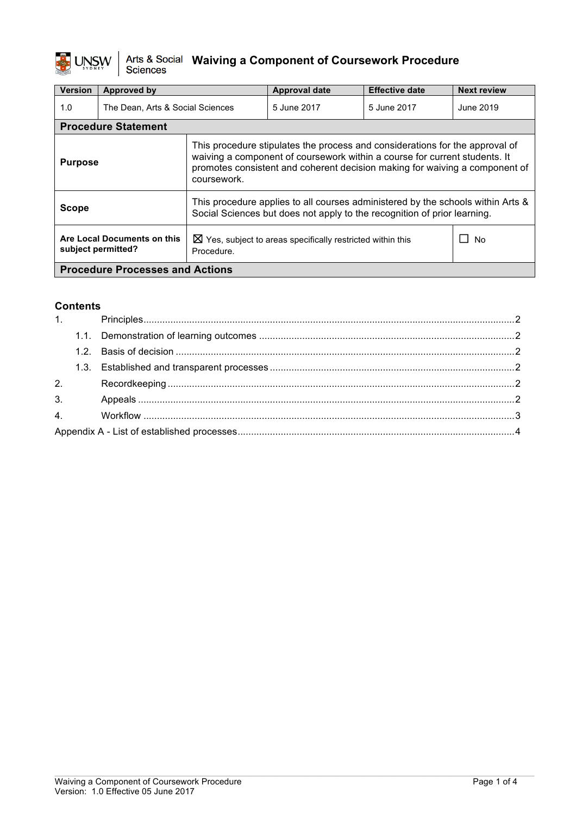

# $\frac{1}{\sqrt{2}}$  UNSW  $\Big|\begin{array}{c} \text{Arts & \text{Social} \\ \text{Science} \end{array}\Big|$  Waiving a Component of Coursework Procedure

| <b>Version</b>                                    | Approved by                      |                                                                                                                                                                                                                                                          | Approval date | <b>Effective date</b> | <b>Next review</b> |  |
|---------------------------------------------------|----------------------------------|----------------------------------------------------------------------------------------------------------------------------------------------------------------------------------------------------------------------------------------------------------|---------------|-----------------------|--------------------|--|
| 1.0                                               | The Dean, Arts & Social Sciences |                                                                                                                                                                                                                                                          | 5 June 2017   | 5 June 2017           | June 2019          |  |
|                                                   | <b>Procedure Statement</b>       |                                                                                                                                                                                                                                                          |               |                       |                    |  |
| <b>Purpose</b>                                    |                                  | This procedure stipulates the process and considerations for the approval of<br>waiving a component of coursework within a course for current students. It<br>promotes consistent and coherent decision making for waiving a component of<br>coursework. |               |                       |                    |  |
| <b>Scope</b>                                      |                                  | This procedure applies to all courses administered by the schools within Arts &<br>Social Sciences but does not apply to the recognition of prior learning.                                                                                              |               |                       |                    |  |
| Are Local Documents on this<br>subject permitted? |                                  | $\boxtimes$ Yes, subject to areas specifically restricted within this<br>Procedure.                                                                                                                                                                      |               |                       | No.<br>l 1         |  |
| <b>Procedure Processes and Actions</b>            |                                  |                                                                                                                                                                                                                                                          |               |                       |                    |  |

# **Contents**

| 2. |  |
|----|--|
|    |  |
|    |  |
|    |  |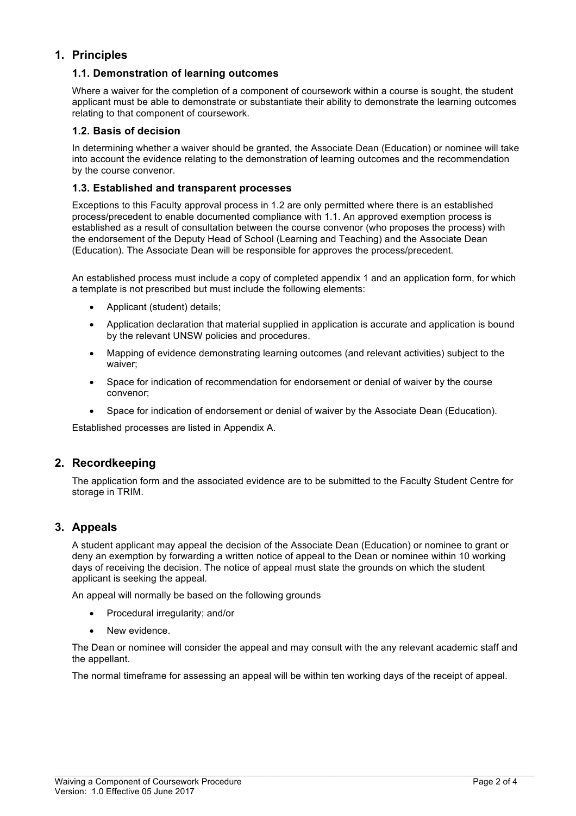# **1. Principles**

### **1.1. Demonstration of learning outcomes**

Where a waiver for the completion of a component of coursework within a course is sought, the student applicant must be able to demonstrate or substantiate their ability to demonstrate the learning outcomes relating to that component of coursework.

#### **1.2. Basis of decision**

In determining whether a waiver should be granted, the Associate Dean (Education) or nominee will take into account the evidence relating to the demonstration of learning outcomes and the recommendation by the course convenor.

#### **1.3. Established and transparent processes**

Exceptions to this Faculty approval process in 1.2 are only permitted where there is an established process/precedent to enable documented compliance with 1.1. An approved exemption process is established as a result of consultation between the course convenor (who proposes the process) with the endorsement of the Deputy Head of School (Learning and Teaching) and the Associate Dean (Education). The Associate Dean will be responsible for approves the process/precedent.

An established process must include a copy of completed appendix 1 and an application form, for which a template is not prescribed but must include the following elements:

- Applicant (student) details;
- Application declaration that material supplied in application is accurate and application is bound by the relevant UNSW policies and procedures.
- Mapping of evidence demonstrating learning outcomes (and relevant activities) subject to the waiver;
- Space for indication of recommendation for endorsement or denial of waiver by the course convenor;
- Space for indication of endorsement or denial of waiver by the Associate Dean (Education).

Established processes are listed in Appendix A.

# **2. Recordkeeping**

The application form and the associated evidence are to be submitted to the Faculty Student Centre for storage in TRIM.

# **3. Appeals**

A student applicant may appeal the decision of the Associate Dean (Education) or nominee to grant or deny an exemption by forwarding a written notice of appeal to the Dean or nominee within 10 working days of receiving the decision. The notice of appeal must state the grounds on which the student applicant is seeking the appeal.

An appeal will normally be based on the following grounds

- Procedural irregularity; and/or
- New evidence.

The Dean or nominee will consider the appeal and may consult with the any relevant academic staff and the appellant.

The normal timeframe for assessing an appeal will be within ten working days of the receipt of appeal.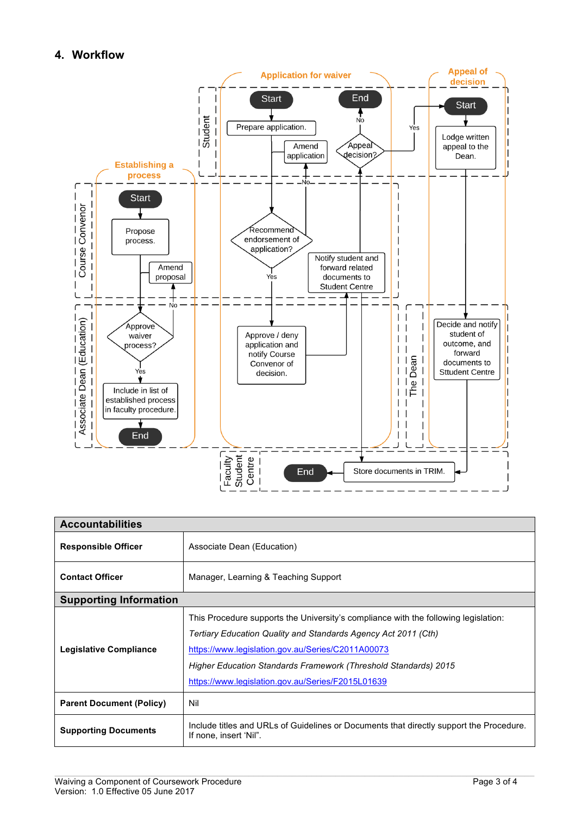# **4. Workflow**



| <b>Accountabilities</b>         |                                                                                                                                                                                                                                                                                                                                    |  |
|---------------------------------|------------------------------------------------------------------------------------------------------------------------------------------------------------------------------------------------------------------------------------------------------------------------------------------------------------------------------------|--|
| <b>Responsible Officer</b>      | Associate Dean (Education)                                                                                                                                                                                                                                                                                                         |  |
| <b>Contact Officer</b>          | Manager, Learning & Teaching Support                                                                                                                                                                                                                                                                                               |  |
| <b>Supporting Information</b>   |                                                                                                                                                                                                                                                                                                                                    |  |
| Legislative Compliance          | This Procedure supports the University's compliance with the following legislation:<br>Tertiary Education Quality and Standards Agency Act 2011 (Cth)<br>https://www.legislation.gov.au/Series/C2011A00073<br>Higher Education Standards Framework (Threshold Standards) 2015<br>https://www.legislation.gov.au/Series/F2015L01639 |  |
| <b>Parent Document (Policy)</b> | Nil                                                                                                                                                                                                                                                                                                                                |  |
| <b>Supporting Documents</b>     | Include titles and URLs of Guidelines or Documents that directly support the Procedure.<br>If none, insert 'Nil".                                                                                                                                                                                                                  |  |